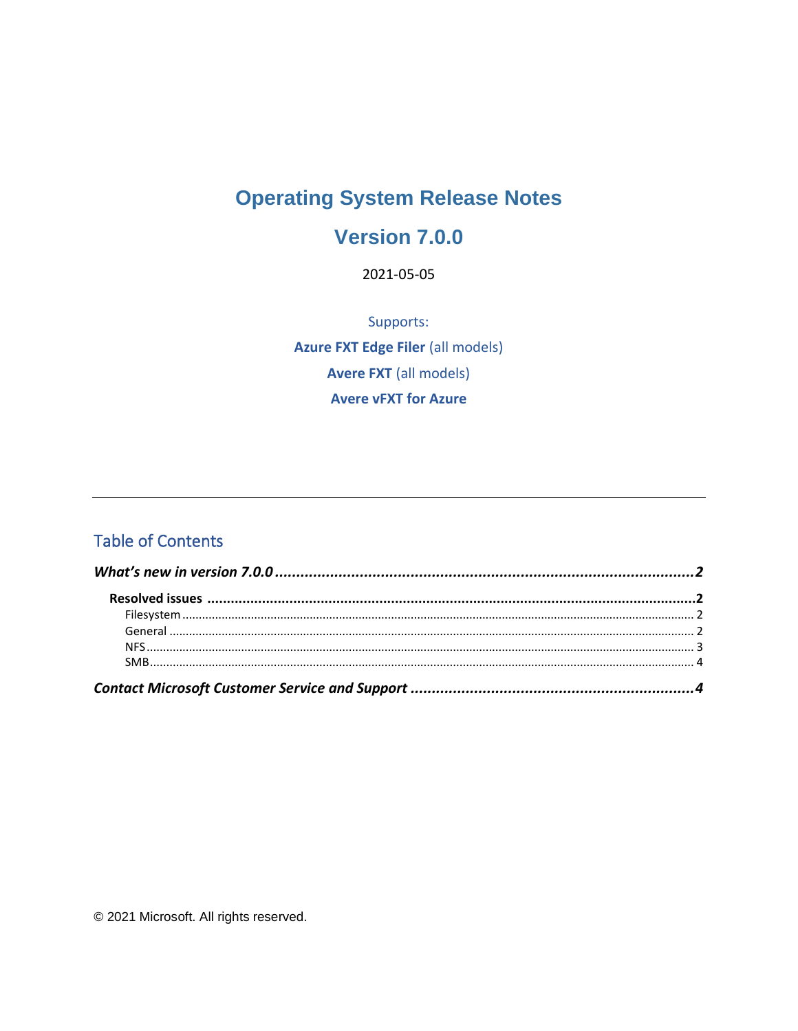# **Operating System Release Notes**

### Version 7.0.0

2021-05-05

Supports: **Azure FXT Edge Filer (all models) Avere FXT** (all models) **Avere vFXT for Azure** 

#### **Table of Contents**

© 2021 Microsoft. All rights reserved.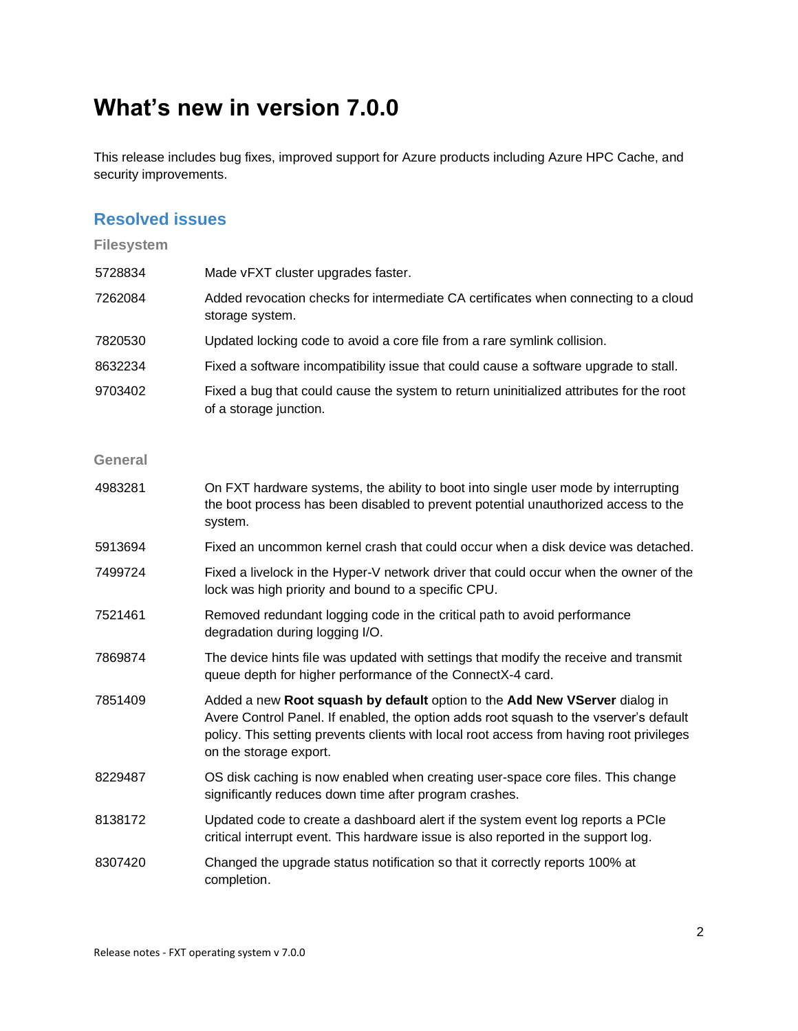## <span id="page-1-0"></span>**What's new in version 7.0.0**

This release includes bug fixes, improved support for Azure products including Azure HPC Cache, and security improvements.

#### <span id="page-1-1"></span>**Resolved issues**

#### <span id="page-1-3"></span><span id="page-1-2"></span>**Filesystem** 5728834 Made vFXT cluster upgrades faster. 7262084 Added revocation checks for intermediate CA certificates when connecting to a cloud storage system. 7820530 Updated locking code to avoid a core file from a rare symlink collision. 8632234 Fixed a software incompatibility issue that could cause a software upgrade to stall. 9703402 Fixed a bug that could cause the system to return uninitialized attributes for the root of a storage junction. **General** 4983281 On FXT hardware systems, the ability to boot into single user mode by interrupting the boot process has been disabled to prevent potential unauthorized access to the system. 5913694 Fixed an uncommon kernel crash that could occur when a disk device was detached. 7499724 Fixed a livelock in the Hyper-V network driver that could occur when the owner of the lock was high priority and bound to a specific CPU. 7521461 Removed redundant logging code in the critical path to avoid performance degradation during logging I/O. 7869874 The device hints file was updated with settings that modify the receive and transmit queue depth for higher performance of the ConnectX-4 card. 7851409 Added a new **Root squash by default** option to the **Add New VServer** dialog in Avere Control Panel. If enabled, the option adds root squash to the vserver's default policy. This setting prevents clients with local root access from having root privileges on the storage export. 8229487 OS disk caching is now enabled when creating user-space core files. This change significantly reduces down time after program crashes. 8138172 Updated code to create a dashboard alert if the system event log reports a PCIe critical interrupt event. This hardware issue is also reported in the support log. 8307420 Changed the upgrade status notification so that it correctly reports 100% at completion.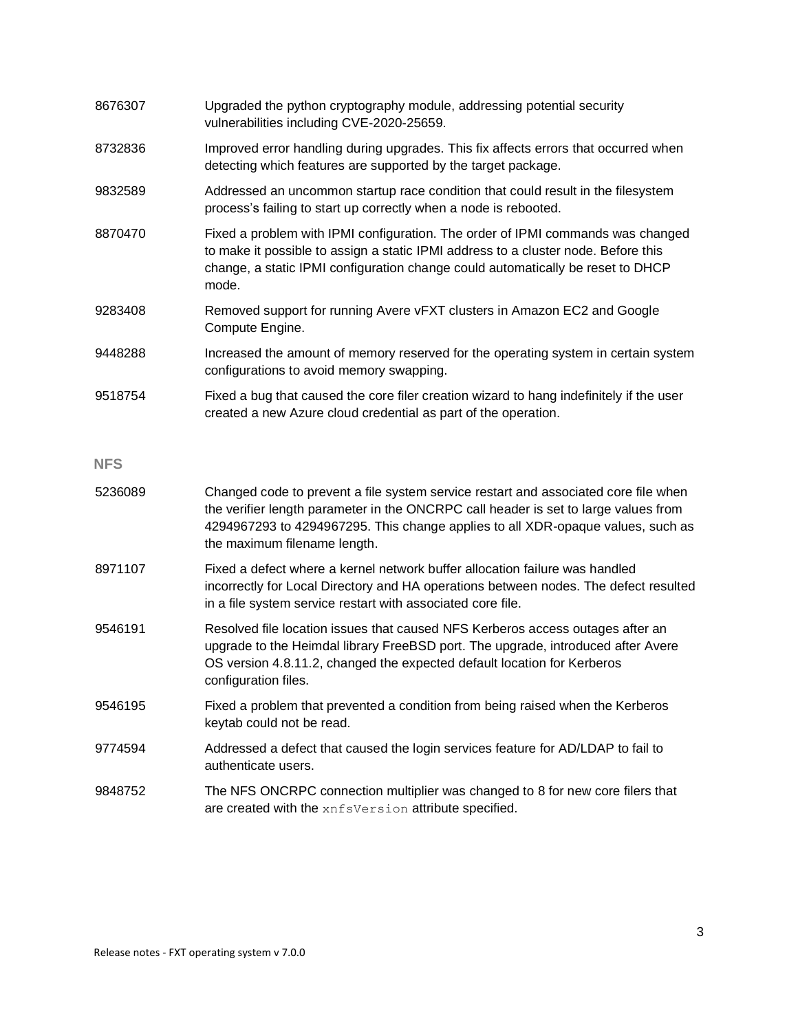<span id="page-2-1"></span><span id="page-2-0"></span>

| 8676307    | Upgraded the python cryptography module, addressing potential security<br>vulnerabilities including CVE-2020-25659.                                                                                                                                                                           |
|------------|-----------------------------------------------------------------------------------------------------------------------------------------------------------------------------------------------------------------------------------------------------------------------------------------------|
| 8732836    | Improved error handling during upgrades. This fix affects errors that occurred when<br>detecting which features are supported by the target package.                                                                                                                                          |
| 9832589    | Addressed an uncommon startup race condition that could result in the filesystem<br>process's failing to start up correctly when a node is rebooted.                                                                                                                                          |
| 8870470    | Fixed a problem with IPMI configuration. The order of IPMI commands was changed<br>to make it possible to assign a static IPMI address to a cluster node. Before this<br>change, a static IPMI configuration change could automatically be reset to DHCP<br>mode.                             |
| 9283408    | Removed support for running Avere vFXT clusters in Amazon EC2 and Google<br>Compute Engine.                                                                                                                                                                                                   |
| 9448288    | Increased the amount of memory reserved for the operating system in certain system<br>configurations to avoid memory swapping.                                                                                                                                                                |
| 9518754    | Fixed a bug that caused the core filer creation wizard to hang indefinitely if the user<br>created a new Azure cloud credential as part of the operation.                                                                                                                                     |
| <b>NFS</b> |                                                                                                                                                                                                                                                                                               |
| 5236089    | Changed code to prevent a file system service restart and associated core file when<br>the verifier length parameter in the ONCRPC call header is set to large values from<br>4294967293 to 4294967295. This change applies to all XDR-opaque values, such as<br>the maximum filename length. |
| 8971107    | Fixed a defect where a kernel network buffer allocation failure was handled<br>incorrectly for Local Directory and HA operations between nodes. The defect resulted<br>in a file system service restart with associated core file.                                                            |
| 9546191    | Resolved file location issues that caused NFS Kerberos access outages after an<br>upgrade to the Heimdal library FreeBSD port. The upgrade, introduced after Avere<br>OS version 4.8.11.2, changed the expected default location for Kerberos<br>configuration files.                         |
| 9546195    | Fixed a problem that prevented a condition from being raised when the Kerberos<br>keytab could not be read.                                                                                                                                                                                   |
| 9774594    | Addressed a defect that caused the login services feature for AD/LDAP to fail to<br>authenticate users.                                                                                                                                                                                       |
| 9848752    | The NFS ONCRPC connection multiplier was changed to 8 for new core filers that<br>are created with the xnfsVersion attribute specified.                                                                                                                                                       |